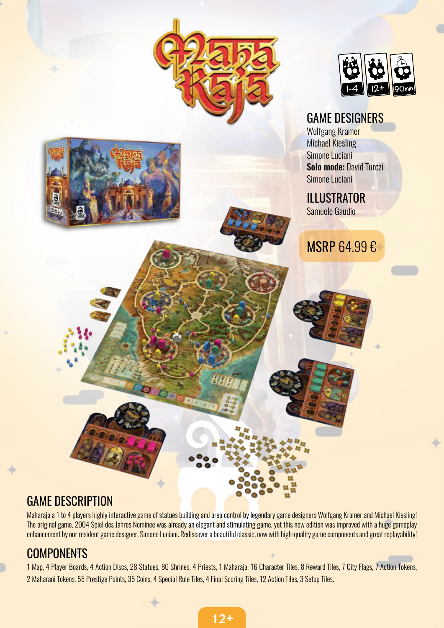

# GAME DESCRIPTION

Maharaja a 1 to 4 players highly interactive game of statues building and area control by legendary game designers Wolfgang Kramer and Michael Kiesling! The original game, 2004 Spiel des Jahres Nominee was already an elegant and stimulating game, yet this new edition was improved with a huge gameplay enhancement by our resident game designer, Simone Luciani. Rediscover a beautiful classic, now with high-quality game components and great replayability!

## **COMPONENTS**

1 Map, 4 Player Boards, 4 Action Discs, 28 Statues, 80 Shrines, 4 Priests, 1 Maharaja, 16 Character Tiles, 8 Reward Tiles, 7 City Flags, 7 Action Tokens, 2 Maharani Tokens, 55 Prestige Points, 35 Coins, 4 Special Rule Tiles, 4 Final Scoring Tiles, 12 Action Tiles, 3 Setup Tiles.